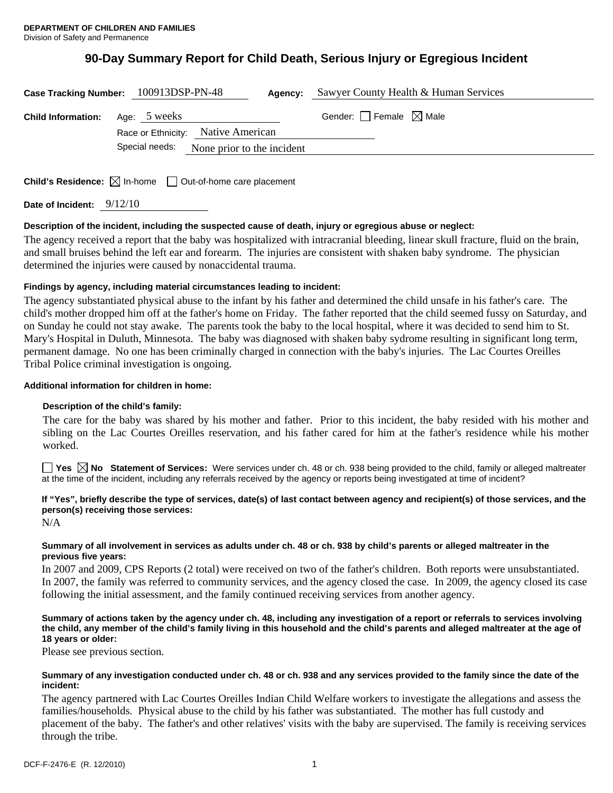# **90-Day Summary Report for Child Death, Serious Injury or Egregious Incident**

| Case Tracking Number: 100913DSP-PN-48  |                                    | Agency:                                   | Sawyer County Health & Human Services  |
|----------------------------------------|------------------------------------|-------------------------------------------|----------------------------------------|
| <b>Child Information:</b> Age: 5 weeks |                                    |                                           | Gender: $\Box$ Female $\boxtimes$ Male |
|                                        | Race or Ethnicity: Native American |                                           |                                        |
|                                        |                                    | Special needs: None prior to the incident |                                        |
|                                        |                                    |                                           |                                        |
|                                        |                                    |                                           |                                        |

**Child's Residence:**  $\boxtimes$  In-home  $\Box$  Out-of-home care placement

**Date of Incident:** 9/12/10

### **Description of the incident, including the suspected cause of death, injury or egregious abuse or neglect:**

The agency received a report that the baby was hospitalized with intracranial bleeding, linear skull fracture, fluid on the brain, and small bruises behind the left ear and forearm. The injuries are consistent with shaken baby syndrome. The physician determined the injuries were caused by nonaccidental trauma.

## **Findings by agency, including material circumstances leading to incident:**

The agency substantiated physical abuse to the infant by his father and determined the child unsafe in his father's care. The child's mother dropped him off at the father's home on Friday. The father reported that the child seemed fussy on Saturday, and on Sunday he could not stay awake. The parents took the baby to the local hospital, where it was decided to send him to St. Mary's Hospital in Duluth, Minnesota. The baby was diagnosed with shaken baby sydrome resulting in significant long term, permanent damage. No one has been criminally charged in connection with the baby's injuries. The Lac Courtes Oreilles Tribal Police criminal investigation is ongoing.

### **Additional information for children in home:**

### **Description of the child's family:**

 The care for the baby was shared by his mother and father. Prior to this incident, the baby resided with his mother and sibling on the Lac Courtes Oreilles reservation, and his father cared for him at the father's residence while his mother worked.

■ Yes **No** Statement of Services: Were services under ch. 48 or ch. 938 being provided to the child, family or alleged maltreater at the time of the incident, including any referrals received by the agency or reports being investigated at time of incident?

## **If "Yes", briefly describe the type of services, date(s) of last contact between agency and recipient(s) of those services, and the person(s) receiving those services:**

N/A

## **Summary of all involvement in services as adults under ch. 48 or ch. 938 by child's parents or alleged maltreater in the previous five years:**

In 2007 and 2009, CPS Reports (2 total) were received on two of the father's children. Both reports were unsubstantiated. In 2007, the family was referred to community services, and the agency closed the case. In 2009, the agency closed its case following the initial assessment, and the family continued receiving services from another agency.

## **Summary of actions taken by the agency under ch. 48, including any investigation of a report or referrals to services involving the child, any member of the child's family living in this household and the child's parents and alleged maltreater at the age of 18 years or older:**

Please see previous section.

## **Summary of any investigation conducted under ch. 48 or ch. 938 and any services provided to the family since the date of the incident:**

The agency partnered with Lac Courtes Oreilles Indian Child Welfare workers to investigate the allegations and assess the families/households. Physical abuse to the child by his father was substantiated. The mother has full custody and placement of the baby. The father's and other relatives' visits with the baby are supervised. The family is receiving services through the tribe.